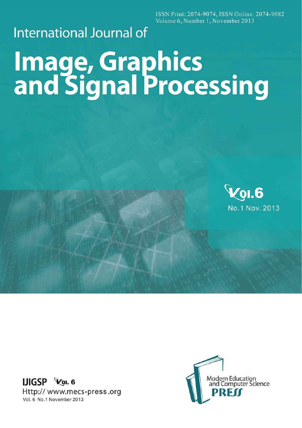ISSN Print: 2074-9074, ISSN Online: 2074-9082 Volume 6, Number 1, November 2013

## **International Journal of**

# **Image, Graphics<br>and Signal Processing**



**IJIGSP** Vol. 6 Http://www.mecs-press.org Vol. 6 No.1 November 2013